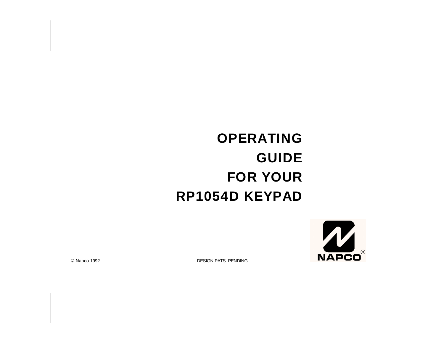# **OPERATING GUIDE FOR YOUR RP1054D KEYPAD**



© Napco 1992 DESIGN PATS. PENDING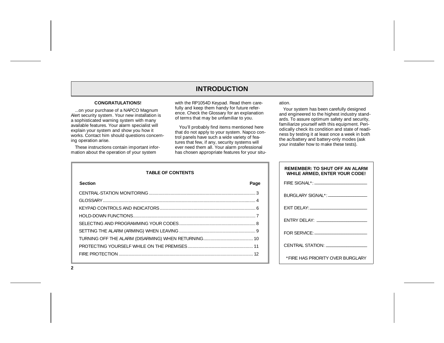## **INTRODUCTION**

#### **CONGRATULATIONS!**

...on your purchase of a NAPCO Magnum Alert security system. Your new installation is a sophisticated warning system with many available features. Your alarm specialist will explain your system and show you how it works. Contact him should questions concerning operation arise.

These instructions contain important information about the operation of your system

with the RP1054D Keypad. Read them carefully and keep them handy for future reference. Check the Glossary for an explanation of terms that may be unfamiliar to you.

You'll probably find items mentioned here that do not apply to your system. Napco control panels have such a wide variety of features that few, if any, security systems will ever need them all. Your alarm professional has chosen appropriate features for your situation.

Your system has been carefully designed and engineered to the highest industry stand ards. To assure optimum safety and security, familiarize yourself with this equipment. Peri odically check its condition and state of readi ness by testing it at least once a week in both the ac/battery and battery-only modes (ask your installer how to make these tests).

| <b>TABLE OF CONTENTS</b> |      |
|--------------------------|------|
| <b>Section</b>           | Page |
|                          |      |
|                          |      |
|                          |      |
|                          |      |
|                          |      |
|                          |      |
|                          |      |
|                          |      |
|                          |      |

| REMEMBER: TO SHUT OFF AN ALARM<br><b>WHILE ARMED, ENTER YOUR CODE!</b> |
|------------------------------------------------------------------------|
|                                                                        |
| BURGLARY SIGNAL*: ____________________                                 |
|                                                                        |
|                                                                        |
|                                                                        |
| CENTRAL STATION: _________________                                     |
| *FIRE HAS PRIORITY OVER BURGLARY                                       |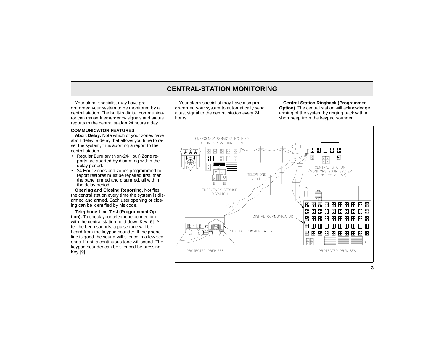## **CENTRAL-STATION MONITORING**

Your alarm specialist may have programmed your system to be monitored by a central station. The built-in digital communicator can transmit emergency signals and status reports to the central station 24 hours a day.

#### **COMMUNICATOR FEATURES**

**Abort Delay.** Note which of your zones have abort delay, a delay that allows you time to reset the system, thus aborting a report to the central station.

- Regular Burglary (Non-24-Hour) Zone reports are aborted by disarming within the delay period.
- 24-Hour Zones and zones programmed to report restores must be repaired first, then the panel armed and disarmed, all within the delay period.

**Opening and Closing Reporting.** Notifies the central station every time the system is disarmed and armed. Each user opening or closing can be identified by his code.

**Telephone-Line Test (Programmed Option).** To check your telephone connection with the central station hold down Key [6]. After the beep sounds, a pulse tone will be heard from the keypad sounder. If the phone line is good the sound will silence in a few seconds. If not, a continuous tone will sound. The keypad sounder can be silenced by pressing Key [9].

Your alarm specialist may have also programmed your system to automatically send a test signal to the central station every 24 hours.

**Central-Station Ringback (Programmed Option).** The central station will acknowledge arming of the system by ringing back with a short beep from the keypad sounder.

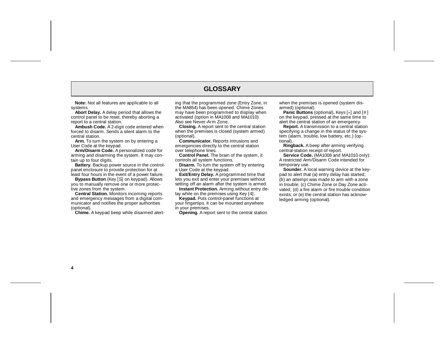## **GLOSSARY**

**Note:** Not all features are applicable to all systems.

**Abort Delay.** A delay period that allows the control panel to be reset, thereby aborting a report to a central station.

**Ambush Code.** A 2-digit code entered when forced to disarm. Sends a silent alarm to the central station.

**Arm.** To turn the system on by entering a User Code at the keypad.

**Arm/Disarm Code.** A personalized code for arming and disarming the system. It may contain up to four digits.

**Battery.** Backup power source in the controlpanel enclosure to provide protection for at least four hours in the event of a power failure.

**Bypass Button** (Key [S] on keypad). Allows you to manually remove one or more protective zones from the system.

**Central Station.** Monitors incoming reports and emergency messages from a digital communicator and notifies the proper authorities (optional).

**Chime.** A keypad beep while disarmed alert-

ing that the programmed zone (Entry Zone, in the MA854) has been opened. Chime Zones may have been programmed to display when activated (option in MA1008 and MA1010). Also see Never-Arm Zone.

**Closing.** A report sent to the central station when the premises is closed (system armed) (optional).

**Communicator.** Reports intrusions and emergencies directly to the central station over telephone lines.

**Control Panel.** The brain of the system, it controls all system functions.

**Disarm.** To turn the system off by entering a User Code at the keypad.

**Exit/Entry Delay.** A programmed time that lets you exit and enter your premises without setting off an alarm after the system is armed.

**Instant Protection.** Arming without entry de lay while on the premises using Key [4].

**Keypad.** Puts control-panel functions at your fingertips. It can be mounted anywhere in your premises.<br>**Opening.** A report sent to the central station

g that the programmed zone (Entry Zone, in when the premises is opened (system dis-<br>emaky has been programmed to display when<br>and (poitional), Keys [·] and [#]<br>tivaled (optional in MA1008 and MA1010). In the keypad, presse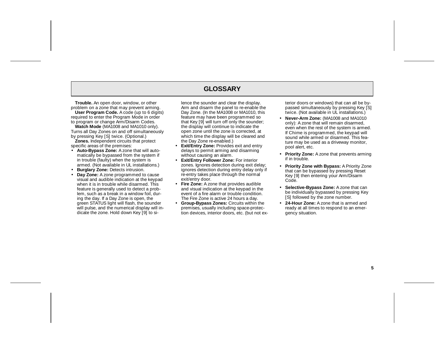## **GLOSSARY**

**Trouble.** An open door, window, or other problem on a zone that may prevent arming. **User Program Code.** A code (up to 6 digits)

required to enter the Program Mode in order to program or change Arm/Disarm Codes. **Watch Mode** (MA1008 and MA1010 only).

Turns all Day Zones on and off simultaneously by pressing Key [S] twice. (Optional.)

**Zones.** Independent circuits that protect specific areas of the premises:

- **Auto-Bypass Zone:** A zone that will automatically be bypassed from the system if in trouble (faulty) when the system is armed. (Not available in UL installations.)
- •**Burglary Zone:** Detects intrusion.
- • **Day Zone:** A zone programmed to cause visual and audible indication at the keypad when it is in trouble while disarmed. This feature is generally used to detect a problem, such as a break in a window foil, during the day. If a Day Zone is open, the green STATUS light will flash, the sounder will pulse, and the numerical display will indicate the zone. Hold down Key [9] to si-

lence the sounder and clear the display. Arm and disarm the panel to re-enable the Day Zone. (In the MA1008 or MA1010, this feature may have been programmed so that Key [9] will turn off only the sounder; the display will continue to indicate the open zone until the zone is corrected, at which time the display will be cleared and the Day Zone re-enabled.)

- **Exit/Entry Zone:** Provides exit and entry delays to permit arming and disarming without causing an alarm.
- **Exit/Entry Follower Zone:** For interior zones. Ignores detection during exit delay; ignores detection during entry delay only if re-entry takes place through the normal exit/entry door.
- **Fire Zone:** A zone that provides audible and visual indication at the keypad in the event of a fire alarm or trouble condition.The Fire Zone is active 24 hours a day.
- **Group-Bypass Zones:** Circuits within the premises, usually including space-protection devices, interior doors, etc. (but not ex-

terior doors or windows) that can all be by passed simultaneously by pressing Key [S] twice. (Not available in UL installations.)

- **Never-Arm Zone:** (MA1008 and MA1010 only): A zone that will remain disarmed, even when the rest of the system is armed. If Chime is programmed, the keypad will sound while armed or disarmed. This feature may be used as a driveway monitor, pool alert, etc.
- **Priority Zone:** A zone that prevents arming if in trouble.
- **Priority Zone with Bypass:** A Priority Zone that can be bypassed by pressing Reset Key [9] then entering your Arm/Disarm Code.
- **Selective-Bypass Zone:** A zone that can be individually bypassed by pressing Key [S] followed by the zone number.
- **24-Hour Zone:** A zone that is armed and ready at all times to respond to an emergency situation.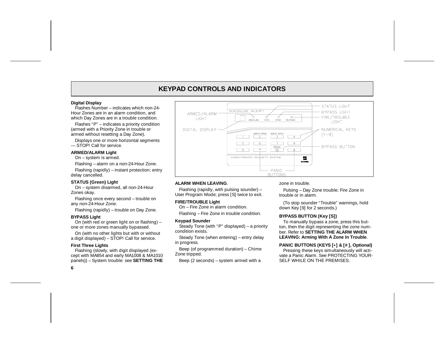## **KEYPAD CONTROLS AND INDICATORS**

#### **Digital Display**

Flashes Number – indicates which non-24-Hour Zones are in an alarm condition, and which Day Zones are in a trouble condition.

Flashes "P" – indicates a priority condition (armed with a Priority Zone in trouble or armed without resetting a Day Zone).

Displays one or more horizontal segments — STOP! Call for service.

#### **ARMED/ALARM Light**

On – system is armed.

Flashing – alarm on a non-24-Hour Zone.

Flashing (rapidly) – instant protection; entry delay cancelled.

#### **STATUS (Green) Light**

On – system disarmed, all non-24-Hour Zones okay.

Flashing once every second – trouble on any non-24-Hour Zone.

Flashing (rapidly) – trouble on Day Zone.

#### **BYPASS Light**

On (with red or green light on or flashing) – one or more zones manually bypassed.

On (with no other lights but with or without a digit displayed) – STOP! Call for service.

#### **First Three Lights**

Flashing (slowly, with digit displayed (except with MA854 and early MA1008 & MA1010 panels)) – System trouble: see **SETTING THE**

STATUS LIGHT MAGNUM ALERT BYPASS LIGHT ARMED/ALARM-Я FIRE/TROUBLE D-**LIGHT LIGHT** DIGITAL DISPLAY-NUMERICAL KEYS DISPLAY STATUS  $(1-9)$  $\sqrt{1}$  $\overline{4}$  $8$  $5<sup>5</sup>$ **BYPASS BUTTON**  $\frac{\text{BYPASS}}{S}$  $\Box$ COMPUTERIZED SECURITY SYSTEM  $\frac{M}{2}$ PANIC **BUTTONS** 

#### **ALARM WHEN LEAVING**.

Flashing (rapidly, with pulsing sounder) – User Program Mode; press [S] twice to exit.

#### **FIRE/TROUBLE Light**

On – Fire Zone in alarm condition.

Flashing – Fire Zone in trouble condition.

#### **Keypad Sounder**

Steady Tone (with "P" displayed) – a priority condition exists.

Steady Tone (when entering) – entry delay in progress.

Beep (of programmed duration) – Chime Zone tripped.

Beep (2 seconds) – system armed with a

zone in trouble.

Pulsing – Day Zone trouble; Fire Zone in trouble or in alarm.

(To stop sounder "Trouble" warnings, hold down Key [9] for 2 seconds.)

### **BYPASS BUTTON (Key [S])**

To manually bypass a zone, press this button, then the digit representing the zone number. Refer to **SETTING THE ALARM WHENLEAVING: Arming With A Zone In Trouble**.

#### **PANIC BUTTONS (KEYS [\*] & [# ], Optional)**

Pressing these keys simultaneously will activate a Panic Alarm. See PROTECTING YOUR-SELF WHILE ON THE PREMISES.

**6**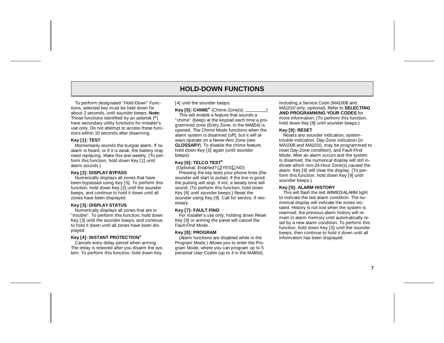## **HOLD-DOWN FUNCTIONS**

To perform designated "Hold-Down" Functions, selected key must be held down for about 2 seconds, until sounder beeps. **Note:** Those functions identified by an asterisk (**\***) have secondary utility functions for installer's use only. Do not attempt to access these functions within 10 seconds after disarming.

#### **Key [1]: TEST**

Momentarily sounds the burglar alarm. If no alarm is heard, or if it is weak, the battery may need replacing. Make this test weekly. (To perform this function, hold down Key [1] until alarm sounds.)

#### **Key [2]: DISPLAY BYPASS**

Numerically displays all zones that have been bypassed using Key [S]. To perform this function, hold down Key [2] until the sounder beeps, and continue to hold it down until all zones have been displayed.

#### **Key [3]: DISPLAY STATUS**

Numerically displays all zones that are in "trouble". To perform this function, hold down Key [3] until the sounder beeps, and continue to hold it down until all zones have been displayed.

#### **Key [4]: INSTANT PROTECTION\***

Cancels entry delay period when arming. The delay is restored after you disarm the system. To perform this function, hold down Key

#### [4] until the sounder beeps.

**Key [5]: CHIME\*** (Chime Zone(s): \_\_\_\_\_\_\_\_\_)

This will enable a feature that sounds a"chime" (beep) at the keypad each time a programmed zone (Entry Zone, in the MA854) is opened. The Chime Mode functions when the alarm system is disarmed (off), but it will always operate on a Never-Arm Zone (see **GLOSSARY**). To disable the chime feature, hold down Key [5] again (until sounder beeps).

#### **Key [6]: TELCO TEST\***

 $(Optional: Enabeled?  $\square$  **YES**  $\square$  **NO**)$ 

Pressing the key tests your phone lines (the sounder will start to pulse). If the line is good, the pulsing will stop: if not, a steady tone will sound. (To perform this function, hold down Key [6] until sounder beeps.) Reset the sounder using Key [9]. Call for service, if necessary.

#### **Key [7]: FAULT FIND**

For installer's use only; holding down Reset Key [9] or arming the panel will cancel the Fault-Find Mode.

#### **Key [8]: PROGRAM**

(Alarm functions are disabled while in the Program Mode.) Allows you to enter the Program Mode, where you can program up to 5 personal User Codes (up to 4 in the MA854),

including a Service Code (MA1008 and MA1010 only, optional). Refer to **SELECTING AND PROGRAMMING YOUR CODES** for more information. (To perform this function, hold down Key [8] until sounder beeps.)

#### **Key [9]: RESET**

Resets any sounder indication, systemtrouble indication, Day-Zone indication (in MA1008 and MA1010, may be programmed to reset Day-Zone condition), and Fault-Find Mode. After an alarm occurs and the system is disarmed, the numerical display will still indicate which non-24-Hour Zone(s) caused the alarm. Key [9] will clear the display. (To perform this function, hold down Key [9] until sounder beeps.)

#### **Key [S]: ALARM HISTORY**

This will flash the red ARMED/ALARM light to indicate the last alarm condition. The numerical display will indicate the zones violated. History is not lost when the system is rearmed; the previous alarm history will remain in alarm memory until automatically reset by a new alarm condition. To perform this function, hold down Key [S] until the sounder beeps, then continue to hold it down until all information has been displayed.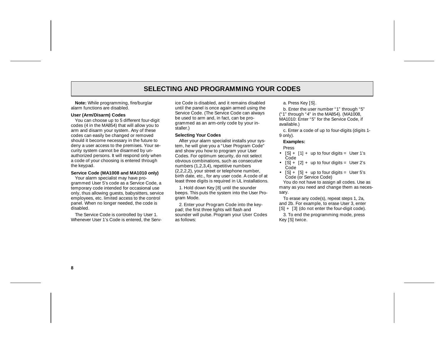## **SELECTING AND PROGRAMMING YOUR CODES**

**Note:** While programming, fire/burglar alarm functions are disabled.

#### **User (Arm/Disarm) Codes**

You can choose up to 5 different four-digit codes (4 in the MA854) that will allow you to arm and disarm your system. Any of these codes can easily be changed or removed should it become necessary in the future to deny a user access to the premises. Your security system cannot be disarmed by unauthorized persons. It will respond only when a code of your choosing is entered through the keypad.

#### **Service Code (MA1008 and MA1010 only)**

Your alarm specialist may have programmed User 5's code as a Service Code, a temporary code intended for occasional use only, thus allowing guests, babysitters, service employees, etc. limited access to the control panel. When no longer needed, the code is disabled.

The Service Code is controlled by User 1. Whenever User 1's Code is entered, the Service Code is disabled, and it remains disabled until the panel is once again armed using the Service Code. (The Service Code can always be used to arm and, in fact, can be pro grammed as an arm-only code by your in staller.)

#### **Selecting Your Codes**

After your alarm specialist installs your sys tem, he will give you a "User Program Code" and show you how to program your User Codes. For optimum security, do not select obvious combinations, such as consecutive numbers (1,2,3,4), repetitive numbers (2,2,2,2), your street or telephone number, birth date, etc., for any user code. A code of at least three digits is required in UL installations. is disabled, and it remains disabled<br>
and E once again amed using the<br>
ode. (The Service Code can always<br>
ode. (The Service Code can always<br>
and, in fact, can be pro-<br>
and, in fact, can be pro-<br>
and, in fact, can be pro-<br>

1. Hold down Key [8] until the sounder beeps. This puts the system into the User Pro gram Mode.

2. Enter your Program Code into the key pad; the first three lights will flash and sounder will pulse. Program your User Codes as follows:

- 
- 
-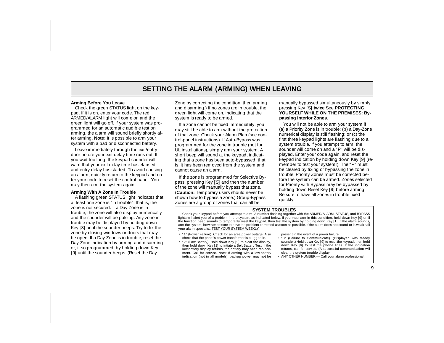## **SETTING THE ALARM (ARMING) WHEN LEAVING**

#### **Arming Before You Leave**

Check the green STATUS light on the keypad. If it is on, enter your code. The red ARMED/ALARM light will come on and the green light will go off. If your system was programmed for an automatic audible test on arming, the alarm will sound briefly shortly after arming. **Note:** It is possible to arm your system with a bad or disconnected battery.

Leave immediately through the exit/entry door before your exit delay time runs out. If you wait too long, the keypad sounder will warn that your exit delay time has elapsed and entry delay has started. To avoid causing an alarm, quickly return to the keypad and enter your code to reset the control panel. You may then arm the system again.

#### **Arming With A Zone In Trouble**

A flashing green STATUS light indicates that at least one zone is "in trouble", that is, the zone is not secured. If a Day Zone is in trouble, the zone will also display numerically and the sounder will be pulsing. Any zone in trouble may be displayed by holding down Key [3] until the sounder beeps. Try to fix the zone by closing windows or doors that may be open. If a Day Zone is in trouble, reset the Day-Zone indication by arming and disarming or, if so programmed, by holding down Key [9] until the sounder beeps. (Reset the Day

Zone by correcting the condition, then arming and disarming.) If no zones are in trouble, the green light will come on, indicating that the system is ready to be armed.

If a zone cannot be fixed immediately, you may still be able to arm without the protection of that zone. Check your Alarm Plan (see control-panel instructions). If Auto-Bypass was programmed for the zone in trouble (not for UL installations), simply arm your system. A short beep will sound at the keypad, indicating that a zone has been auto-bypassed, that is, it has been removed from the system and cannot cause an alarm.

If the zone is programmed for Selective Bypass, pressing Key [S] and then the number of the zone will manually bypass that zone. (**Caution:** Temporary users should never be shown how to bypass a zone.) Group-Bypass Zones are a group of zones that can all be

manually bypassed simultaneously by simply pressing Key [S] **twice** See **PROTECTING YOURSELF WHILE ON THE PREMISES: Bypassing Interior Zones**.

You will not be able to arm your system if (a) a Priority Zone is in trouble; (b) a Day-Zone numerical display is still flashing; or (c) the first three keypad lights are flashing due to a system trouble. If you attempt to arm, the sounder will come on and a "P" will be displayed. Enter your code again, and reset the keypad indication by holding down Key [9] (remember to test your system!). The "P" must be cleared by fixing or bypassing the zone in trouble. Priority Zones must be corrected before the system can be armed. Zones selected for Priority with Bypass may be bypassed by holding down Reset Key [9] before arming. Be sure to have all zones in trouble fixedquickly.

#### **SYSTEM TROUBLES**

 Check your keypad before you attempt to arm. A number flashing together with the ARMED/ALARM, STATUS, and BYPASS lights will alert you of a problem in the system, as indicated below. If you must arm in this condition, hold down Key [9] until the function beep sounds to temporarily reset the keypad, then test the system by holding down Key [1]. If the alarm sounds, arm the system, however be sure to have the problem corrected as soon as possible. If the alarm does not sound or is weak call your alarm specialist. TEST YOUR SYSTEM WEEKLY!

- "1" (Power Failure). Check for an area power outage. Also check that the panel's power transformer is plugged in.
- • "2" (Low Battery). Hold down Key [9] to clear the display, then hold down Key [1] to intiate a Bell/Battery Test. If the low-battery display returns, the battery may need replacement. Call for service. Note: If arming with a low-battery indication (not in all models), backup power may not be

present in the event of a power failure.

- "3" (Failure to Communicate). (Displayed with steady sounder.) Hold down Key [9] to reset the keypad, then hold down Key [6] to test the phone lines. If the indication returns, call for service. (A successful communication will clear the system trouble display.
- ANY OTHER NUMBER Call your alarm professional.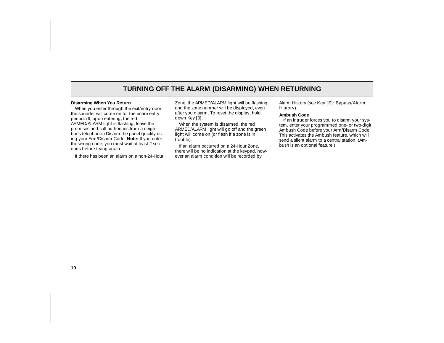## **TURNING OFF THE ALARM (DISARMING) WHEN RETURNING**

#### **Disarming When You Return**

When you enter through the exit/entry door, the sounder will come on for the entire entry period. (If, upon entering, the red ARMED/ALARM light is flashing, leave the premises and call authorities from a neighbor's telephone.) Disarm the panel quickly using your Arm/Disarm Code. **Note:** If you enter the wrong code, you must wait at least 2 seconds before trying again.

If there has been an alarm on a non-24-Hour

Zone, the ARMED/ALARM light will be flashing and the zone number will be displayed, even after you disarm. To reset the display, hold down Key [9].

When the system is disarmed, the red ARMED/ALARM light will go off and the green light will come on (or flash if a zone is in trouble).

If an alarm occurred on a 24-Hour Zone, there will be no indication at the keypad, however an alarm condition will be recorded by

Alarm History (see Key [S]: Bypass/Alarm History).

#### **Ambush Code**

 If an intruder forces you to disarm your system, enter your programmed one- or two-digit Ambush Code before your Arm/Disarm Code. This activates the Ambush feature, which will send a silent alarm to a central station. (Ambush is an optional feature.)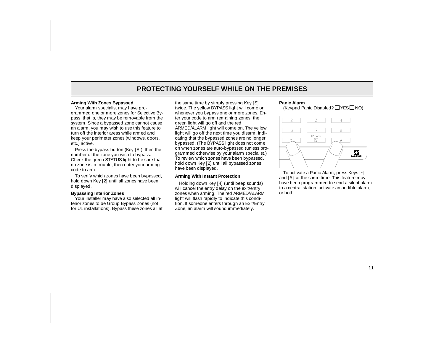## **PROTECTING YOURSELF WHILE ON THE PREMISES**

#### **Arming With Zones Bypassed**

Your alarm specialist may have programmed one or more zones for Selective Bypass, that is, they may be removable from the system. Since a bypassed zone cannot cause an alarm, you may wish to use this feature to turn off the interior areas while armed and keep your perimeter zones (windows, doors, etc.) active.

Press the bypass button (Key [S]), then the number of the zone you wish to bypass. Check the green STATUS light to be sure that no zone is in trouble, then enter your arming code to arm.

To verify which zones have been bypassed, hold down Key [2] until all zones have been displayed.

#### **Bypassing Interior Zones**

Your installer may have also selected all interior zones to be Group Bypass Zones (not for UL installations). Bypass these zones all at the same time by simply pressing Key [S] twice. The yellow BYPASS light will come on whenever you bypass one or more zones. Enter your code to arm remaining zones; the green light will go off and the red ARMED/ALARM light will come on. The yellow light will go off the next time you disarm, indicating that the bypassed zones are no longer bypassed. (The BYPASS light does not come on when zones are auto-bypassed (unless programmed otherwise by your alarm specialist.) To review which zones have been bypassed, hold down Key [2] until all bypassed zones have been displayed.

#### **Arming With Instant Protection**

Holding down Key [4] (until beep sounds) will cancel the entry delay on the exit/entry zones when arming. The red ARMED/ALARM light will flash rapidly to indicate this condition. If someone enters through an Exit/Entry Zone, an alarm will sound immediately.

#### **Panic Alarm**

(Keypad Panic Disabled?  $\Box$  YES  $\Box$  NO)



To activate a Panic Alarm, press Keys [\*] and [#] at the same time. This feature may have been programmed to send a silent alarm to a central station, activate an audible alarm, or both.